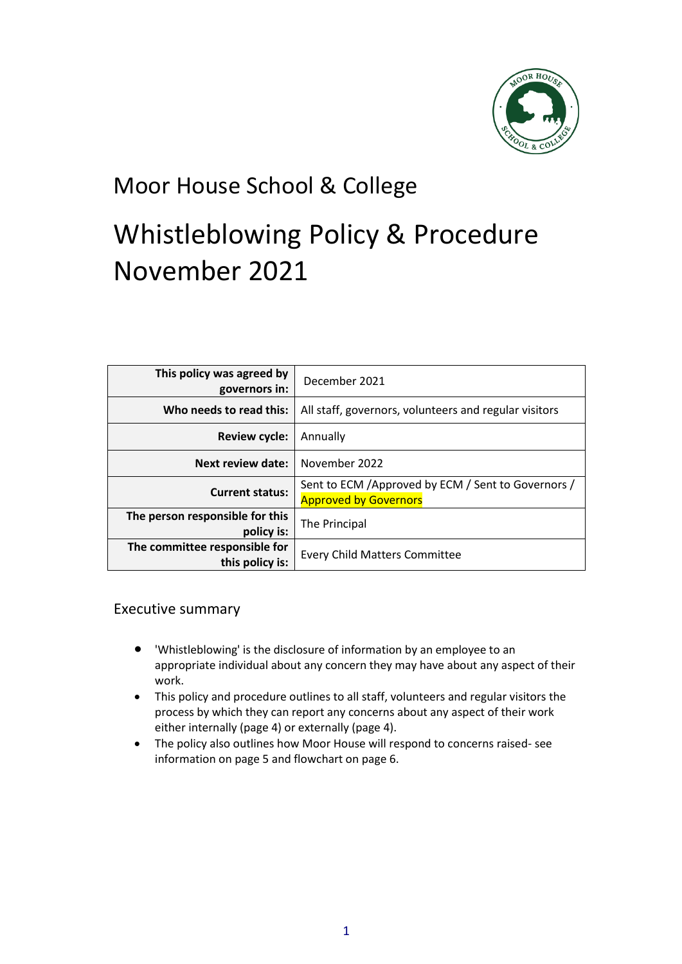

## Moor House School & College

# Whistleblowing Policy & Procedure November 2021

| This policy was agreed by<br>governors in:       | December 2021                                                                       |
|--------------------------------------------------|-------------------------------------------------------------------------------------|
| Who needs to read this:                          | All staff, governors, volunteers and regular visitors                               |
| <b>Review cycle:</b>                             | Annually                                                                            |
| Next review date:                                | November 2022                                                                       |
| <b>Current status:</b>                           | Sent to ECM / Approved by ECM / Sent to Governors /<br><b>Approved by Governors</b> |
| The person responsible for this<br>policy is:    | The Principal                                                                       |
| The committee responsible for<br>this policy is: | <b>Every Child Matters Committee</b>                                                |

#### Executive summary

- 'Whistleblowing' is the disclosure of information by an employee to an appropriate individual about any concern they may have about any aspect of their work.
- This policy and procedure outlines to all staff, volunteers and regular visitors the process by which they can report any concerns about any aspect of their work either internally (page 4) or externally (page 4).
- The policy also outlines how Moor House will respond to concerns raised- see information on page 5 and flowchart on page 6.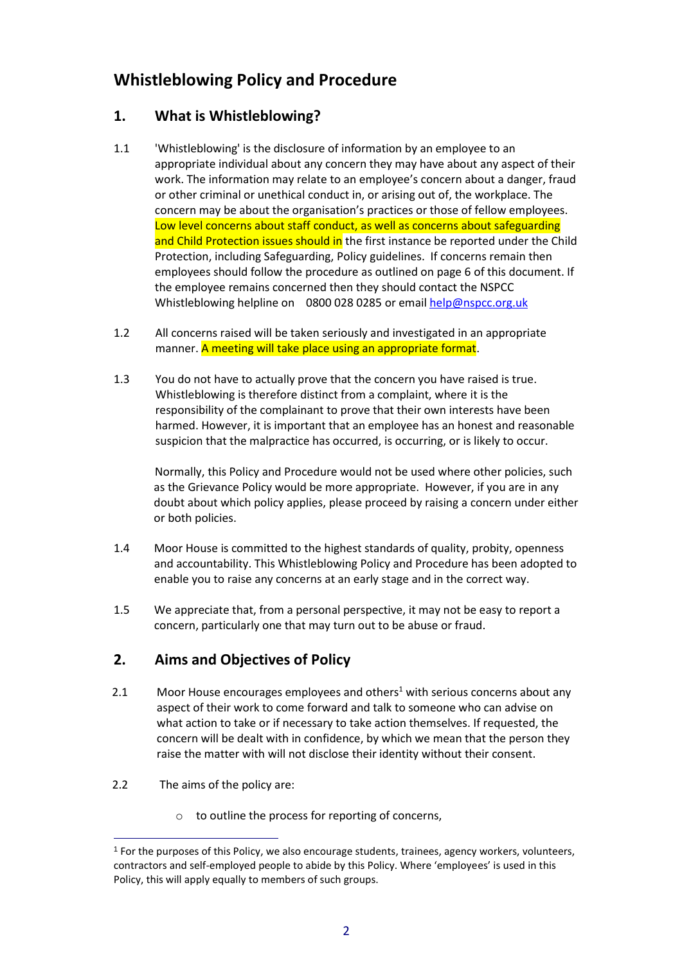### **Whistleblowing Policy and Procedure**

#### **1. What is Whistleblowing?**

- 1.1 'Whistleblowing' is the disclosure of information by an employee to an appropriate individual about any concern they may have about any aspect of their work. The information may relate to an employee's concern about a danger, fraud or other criminal or unethical conduct in, or arising out of, the workplace. The concern may be about the organisation's practices or those of fellow employees. Low level concerns about staff conduct, as well as concerns about safeguarding and Child Protection issues should in the first instance be reported under the Child Protection, including Safeguarding, Policy guidelines. If concerns remain then employees should follow the procedure as outlined on page 6 of this document. If the employee remains concerned then they should contact the NSPCC Whistleblowing helpline on 0800 028 0285 or email [help@nspcc.org.uk](mailto:help@nspcc.org.uk)
- 1.2 All concerns raised will be taken seriously and investigated in an appropriate manner. A meeting will take place using an appropriate format.
- 1.3 You do not have to actually prove that the concern you have raised is true. Whistleblowing is therefore distinct from a complaint, where it is the responsibility of the complainant to prove that their own interests have been harmed. However, it is important that an employee has an honest and reasonable suspicion that the malpractice has occurred, is occurring, or is likely to occur.

Normally, this Policy and Procedure would not be used where other policies, such as the Grievance Policy would be more appropriate. However, if you are in any doubt about which policy applies, please proceed by raising a concern under either or both policies.

- 1.4 Moor House is committed to the highest standards of quality, probity, openness and accountability. This Whistleblowing Policy and Procedure has been adopted to enable you to raise any concerns at an early stage and in the correct way.
- 1.5 We appreciate that, from a personal perspective, it may not be easy to report a concern, particularly one that may turn out to be abuse or fraud.

#### **2. Aims and Objectives of Policy**

- 2.1 Moor House encourages employees and others<sup>1</sup> with serious concerns about any aspect of their work to come forward and talk to someone who can advise on what action to take or if necessary to take action themselves. If requested, the concern will be dealt with in confidence, by which we mean that the person they raise the matter with will not disclose their identity without their consent.
- 2.2 The aims of the policy are:

 $\overline{a}$ 

o to outline the process for reporting of concerns,

 $<sup>1</sup>$  For the purposes of this Policy, we also encourage students, trainees, agency workers, volunteers,</sup> contractors and self-employed people to abide by this Policy. Where 'employees' is used in this Policy, this will apply equally to members of such groups.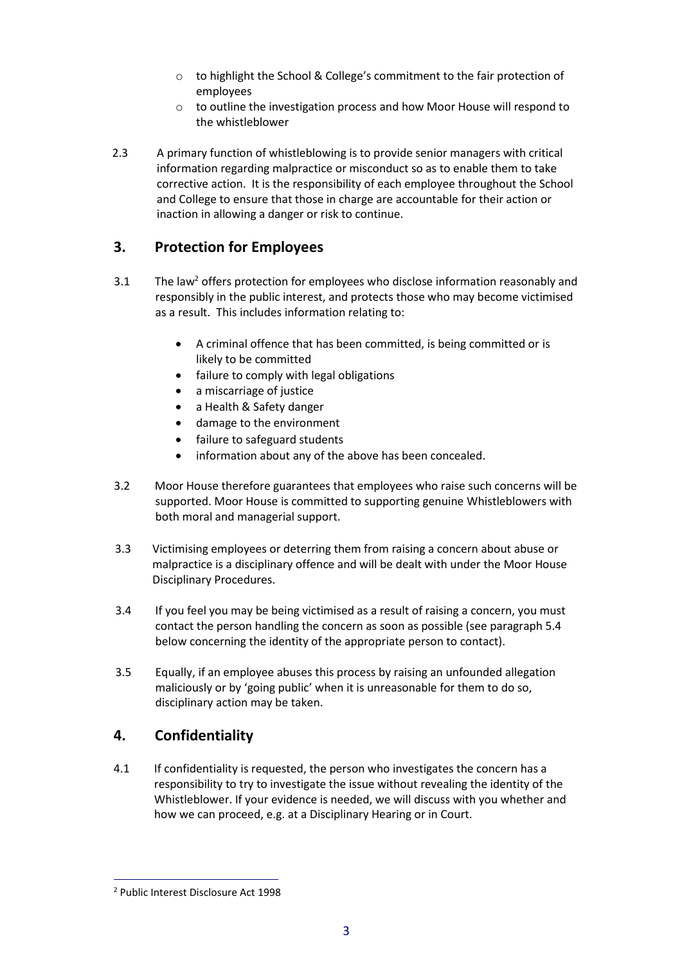- o to highlight the School & College's commitment to the fair protection of employees
- o to outline the investigation process and how Moor House will respond to the whistleblower
- 2.3 A primary function of whistleblowing is to provide senior managers with critical information regarding malpractice or misconduct so as to enable them to take corrective action. It is the responsibility of each employee throughout the School and College to ensure that those in charge are accountable for their action or inaction in allowing a danger or risk to continue.

#### **3. Protection for Employees**

- 3.1 The law<sup>2</sup> offers protection for employees who disclose information reasonably and responsibly in the public interest, and protects those who may become victimised as a result. This includes information relating to:
	- A criminal offence that has been committed, is being committed or is likely to be committed
	- failure to comply with legal obligations
	- a miscarriage of justice
	- a Health & Safety danger
	- damage to the environment
	- failure to safeguard students
	- information about any of the above has been concealed.
- 3.2 Moor House therefore guarantees that employees who raise such concerns will be supported. Moor House is committed to supporting genuine Whistleblowers with both moral and managerial support.
- 3.3 Victimising employees or deterring them from raising a concern about abuse or malpractice is a disciplinary offence and will be dealt with under the Moor House Disciplinary Procedures.
- 3.4 If you feel you may be being victimised as a result of raising a concern, you must contact the person handling the concern as soon as possible (see paragraph 5.4 below concerning the identity of the appropriate person to contact).
- 3.5 Equally, if an employee abuses this process by raising an unfounded allegation maliciously or by 'going public' when it is unreasonable for them to do so, disciplinary action may be taken.

#### **4. Confidentiality**

4.1 If confidentiality is requested, the person who investigates the concern has a responsibility to try to investigate the issue without revealing the identity of the Whistleblower. If your evidence is needed, we will discuss with you whether and how we can proceed, e.g. at a Disciplinary Hearing or in Court.

l

<sup>2</sup> Public Interest Disclosure Act 1998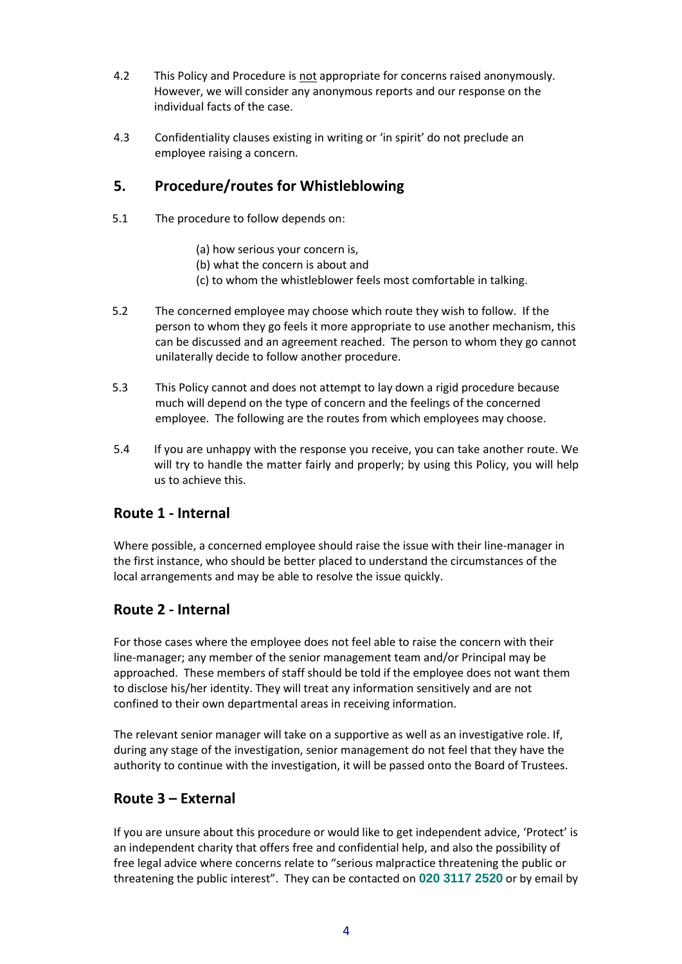- 4.2 This Policy and Procedure is not appropriate for concerns raised anonymously. However, we will consider any anonymous reports and our response on the individual facts of the case.
- 4.3 Confidentiality clauses existing in writing or 'in spirit' do not preclude an employee raising a concern.

#### **5. Procedure/routes for Whistleblowing**

- 5.1 The procedure to follow depends on:
	- (a) how serious your concern is,
	- (b) what the concern is about and
	- (c) to whom the whistleblower feels most comfortable in talking.
- 5.2 The concerned employee may choose which route they wish to follow. If the person to whom they go feels it more appropriate to use another mechanism, this can be discussed and an agreement reached. The person to whom they go cannot unilaterally decide to follow another procedure.
- 5.3 This Policy cannot and does not attempt to lay down a rigid procedure because much will depend on the type of concern and the feelings of the concerned employee. The following are the routes from which employees may choose.
- 5.4 If you are unhappy with the response you receive, you can take another route. We will try to handle the matter fairly and properly; by using this Policy, you will help us to achieve this.

#### **Route 1 - Internal**

Where possible, a concerned employee should raise the issue with their line-manager in the first instance, who should be better placed to understand the circumstances of the local arrangements and may be able to resolve the issue quickly.

#### **Route 2 - Internal**

For those cases where the employee does not feel able to raise the concern with their line-manager; any member of the senior management team and/or Principal may be approached. These members of staff should be told if the employee does not want them to disclose his/her identity. They will treat any information sensitively and are not confined to their own departmental areas in receiving information.

The relevant senior manager will take on a supportive as well as an investigative role. If, during any stage of the investigation, senior management do not feel that they have the authority to continue with the investigation, it will be passed onto the Board of Trustees.

#### **Route 3 – External**

If you are unsure about this procedure or would like to get independent advice, 'Protect' is an independent charity that offers free and confidential help, and also the possibility of free legal advice where concerns relate to "serious malpractice threatening the public or threatening the public interest". They can be contacted on **020 3117 2520** or by email by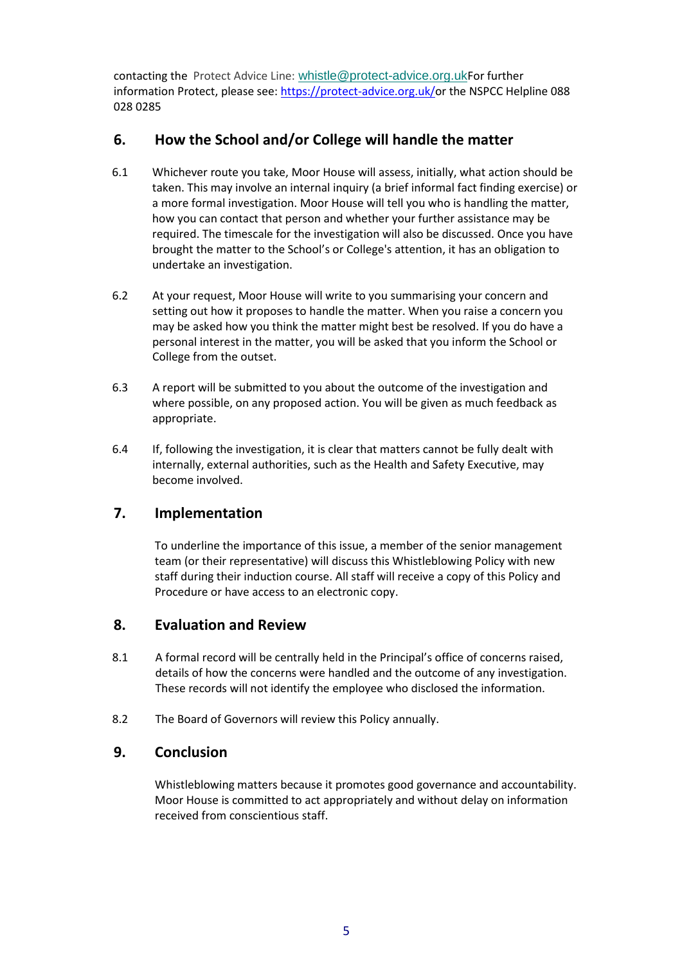contacting the Protect Advice Line: [whistle@protect-advice.org.uk](mailto:whistle@protect-advice.org.uk)For further information Protect, please see: [https://protect-advice.org.uk/o](https://protect-advice.org.uk/)r the NSPCC Helpline 088 028 0285

#### **6. How the School and/or College will handle the matter**

- 6.1 Whichever route you take, Moor House will assess, initially, what action should be taken. This may involve an internal inquiry (a brief informal fact finding exercise) or a more formal investigation. Moor House will tell you who is handling the matter, how you can contact that person and whether your further assistance may be required. The timescale for the investigation will also be discussed. Once you have brought the matter to the School's or College's attention, it has an obligation to undertake an investigation.
- 6.2 At your request, Moor House will write to you summarising your concern and setting out how it proposes to handle the matter. When you raise a concern you may be asked how you think the matter might best be resolved. If you do have a personal interest in the matter, you will be asked that you inform the School or College from the outset.
- 6.3 A report will be submitted to you about the outcome of the investigation and where possible, on any proposed action. You will be given as much feedback as appropriate.
- 6.4 If, following the investigation, it is clear that matters cannot be fully dealt with internally, external authorities, such as the Health and Safety Executive, may become involved.

#### **7. Implementation**

To underline the importance of this issue, a member of the senior management team (or their representative) will discuss this Whistleblowing Policy with new staff during their induction course. All staff will receive a copy of this Policy and Procedure or have access to an electronic copy.

#### **8. Evaluation and Review**

- 8.1 A formal record will be centrally held in the Principal's office of concerns raised, details of how the concerns were handled and the outcome of any investigation. These records will not identify the employee who disclosed the information.
- 8.2 The Board of Governors will review this Policy annually.

#### **9. Conclusion**

Whistleblowing matters because it promotes good governance and accountability. Moor House is committed to act appropriately and without delay on information received from conscientious staff.